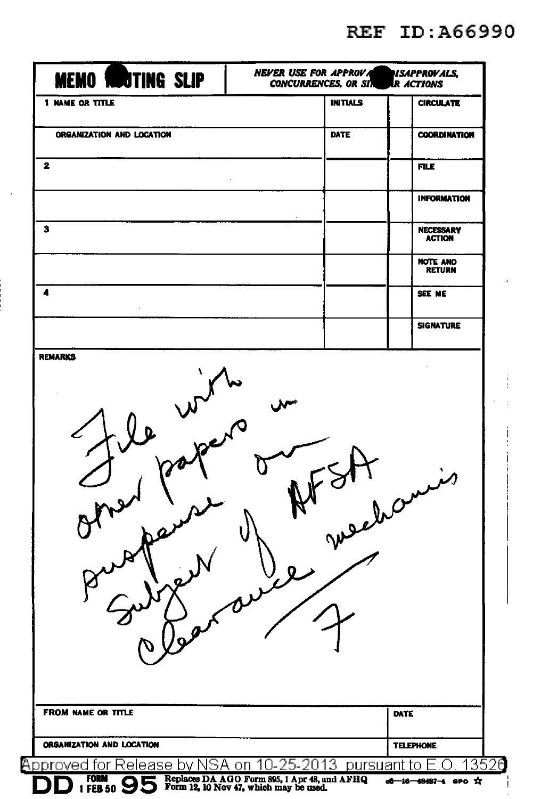**REF ID: A66990** 

| <b>MEMO RUOTING SLIP</b>                                                           | <b>NEVER USE FOR APPROVA</b><br>NSAPPROVALS,<br><b>CONCURRENCES, OR SIM</b><br>IR ACTIONS |                 |                                   |
|------------------------------------------------------------------------------------|-------------------------------------------------------------------------------------------|-----------------|-----------------------------------|
| <b>1 NAME OR TITLE</b>                                                             |                                                                                           | <b>INITIALS</b> | <b>CIRCULATE</b>                  |
| ORGANIZATION AND LOCATION                                                          | <b>DATE</b>                                                                               |                 | <b>COORDINATION</b>               |
| 2                                                                                  |                                                                                           |                 | <b>FILE</b>                       |
|                                                                                    |                                                                                           |                 | <b>INFORMATION</b>                |
| з                                                                                  |                                                                                           |                 | <b>NECESSARY</b><br><b>ACTION</b> |
|                                                                                    |                                                                                           |                 | <b>NOTE AND</b><br><b>RETURN</b>  |
| 4                                                                                  |                                                                                           |                 | SEE ME                            |
|                                                                                    |                                                                                           |                 | <b>SIGNATURE</b>                  |
|                                                                                    |                                                                                           | surehan         |                                   |
|                                                                                    | V                                                                                         |                 |                                   |
| <b>FROM NAME OR TITLE</b>                                                          |                                                                                           | DATE            |                                   |
| ORGANIZATION AND LOCATION<br>Approved for Release by NSA on 10-25-2013 pursuant to |                                                                                           |                 | <b>TELEPHONE</b><br>13526         |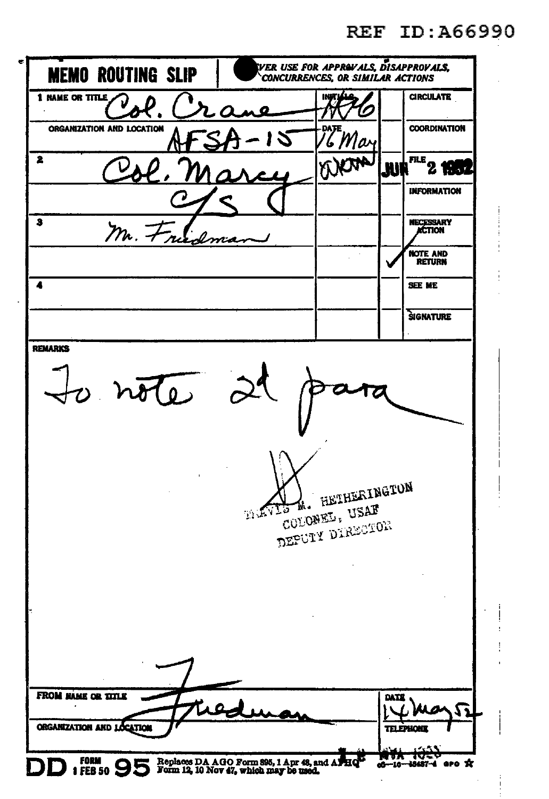REF ID: A66990

| <b>MEMO ROUTING SLIP</b>                                          |                                                                                                   | ver use for apprevals, disapproval <b>s.</b><br><b>CONCURRENCES. OR SIMILAR ACTIONS</b> |                   |                                                                |
|-------------------------------------------------------------------|---------------------------------------------------------------------------------------------------|-----------------------------------------------------------------------------------------|-------------------|----------------------------------------------------------------|
| 1 NAME OR TITLE                                                   | LΔ                                                                                                | INA                                                                                     |                   | <b>CIRCULATE</b>                                               |
| ORGANIZATION AND LOCATION                                         | 2                                                                                                 | 6 Mar                                                                                   |                   | <b>COORDINATION</b>                                            |
| 2                                                                 |                                                                                                   |                                                                                         | JUN               | <b>FILE</b><br>$2$ 1937                                        |
|                                                                   |                                                                                                   |                                                                                         |                   | INFORMATION                                                    |
| 3<br>m.7                                                          |                                                                                                   |                                                                                         |                   | NECESSARY<br>ACTION                                            |
|                                                                   |                                                                                                   |                                                                                         |                   | <b>NOTE AND</b><br><b>RETURN</b>                               |
|                                                                   |                                                                                                   |                                                                                         |                   | <b>SEE ME</b>                                                  |
|                                                                   |                                                                                                   |                                                                                         |                   | SIGNATURE                                                      |
| $\overline{\mathcal{H}}$                                          | <b>MAVIS</b>                                                                                      | M. HETHERINGTON<br>COLONEL, USAF<br>DEPUIY DIRECTOR                                     |                   |                                                                |
| <b>FROM MAME OR TITLE</b><br>ORGANIZATION AND LOCATION<br>FORM 95 | Replaces DA AGO Form 895, 1 Apr 48, and APHQ <sup>13</sup> Form 12, 10 Nov 47, which may be used. |                                                                                         | DATE<br><b>DA</b> | 11<br>a<br><b>TELEPHONE</b><br>دخت<br>V<br>of-16-48487-4 aro x |